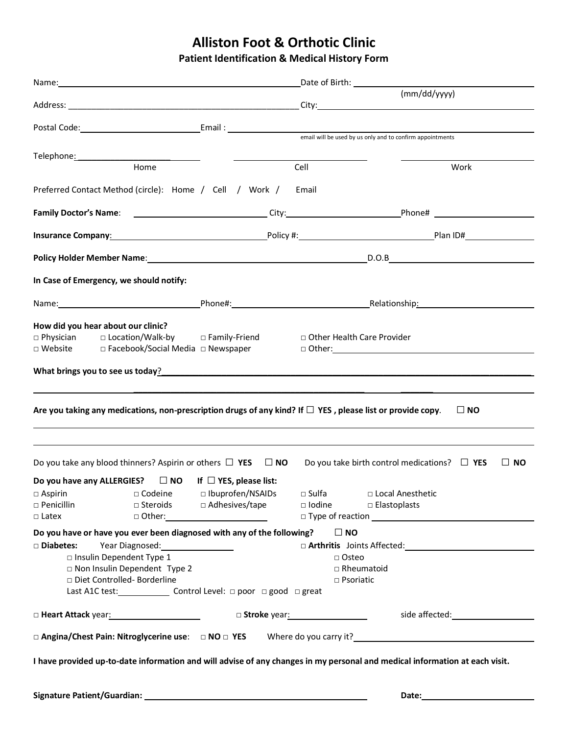## **Alliston Foot & Orthotic Clinic**

**Patient Identification & Medical History Form**

|                                                                                                                                                                                                                                                                    |                                                                                         |                                         | (mm/dd/yyyy)                              |                                                                                                                |  |  |
|--------------------------------------------------------------------------------------------------------------------------------------------------------------------------------------------------------------------------------------------------------------------|-----------------------------------------------------------------------------------------|-----------------------------------------|-------------------------------------------|----------------------------------------------------------------------------------------------------------------|--|--|
|                                                                                                                                                                                                                                                                    |                                                                                         |                                         |                                           |                                                                                                                |  |  |
|                                                                                                                                                                                                                                                                    |                                                                                         |                                         |                                           |                                                                                                                |  |  |
| Telephone <u>: www.community.com</u>                                                                                                                                                                                                                               |                                                                                         |                                         |                                           |                                                                                                                |  |  |
| Home                                                                                                                                                                                                                                                               |                                                                                         | Cell                                    | Work                                      |                                                                                                                |  |  |
| Preferred Contact Method (circle): Home / Cell / Work /                                                                                                                                                                                                            |                                                                                         | Email                                   |                                           |                                                                                                                |  |  |
| Family Doctor's Name: ______________________________City:_________________________Phone# _____________________                                                                                                                                                     |                                                                                         |                                         |                                           |                                                                                                                |  |  |
| <b>Insurance Company</b> : <u>All and the Company:</u> Constant of Policy #: Constant of Policy #: Company Plan ID#                                                                                                                                                |                                                                                         |                                         |                                           |                                                                                                                |  |  |
| Policy Holder Member Name: Name: Name: Name: Name: Name: Name: Name: Name: Name: Name: Name: Name: Name: Name: N                                                                                                                                                   |                                                                                         |                                         |                                           |                                                                                                                |  |  |
| In Case of Emergency, we should notify:                                                                                                                                                                                                                            |                                                                                         |                                         |                                           |                                                                                                                |  |  |
|                                                                                                                                                                                                                                                                    |                                                                                         |                                         |                                           |                                                                                                                |  |  |
| How did you hear about our clinic?<br>□ Physician □ Location/Walk-by □ Family-Friend<br>□ Website<br>□ Facebook/Social Media □ Newspaper<br>What brings you to see us today? <u>Andrea and a series of the series of the series of the series of the series of</u> |                                                                                         | □ Other Health Care Provider            | $\Box$ Other: $\Box$                      |                                                                                                                |  |  |
|                                                                                                                                                                                                                                                                    |                                                                                         |                                         |                                           |                                                                                                                |  |  |
| Are you taking any medications, non-prescription drugs of any kind? If $\Box$ YES , please list or provide copy.                                                                                                                                                   |                                                                                         |                                         |                                           | $\Box$ NO                                                                                                      |  |  |
|                                                                                                                                                                                                                                                                    |                                                                                         |                                         |                                           |                                                                                                                |  |  |
| Do you take any blood thinners? Aspirin or others $\Box$ YES $\Box$ NO<br>Do you take birth control medications? $\Box$ YES<br>$\Box$ NO                                                                                                                           |                                                                                         |                                         |                                           |                                                                                                                |  |  |
| Do you have any ALLERGIES? $\Box$ NO If $\Box$ YES, please list:                                                                                                                                                                                                   |                                                                                         |                                         |                                           |                                                                                                                |  |  |
| $\square$ Aspirin<br>$\square$ Codeine<br>$\square$ Penicillin<br>$\Box$ Latex                                                                                                                                                                                     | □ Ibuprofen/NSAIDs<br>□ Steroids □ Adhesives/tape<br>□ Other:__________________________ | $\square$ Sulfa<br>$\Box$ Iodine        | □ Local Anesthetic<br>$\Box$ Elastoplasts |                                                                                                                |  |  |
| Do you have or have you ever been diagnosed with any of the following?                                                                                                                                                                                             |                                                                                         | $\Box$ NO                               |                                           |                                                                                                                |  |  |
| □ Diabetes:<br>Year Diagnosed:<br><u> </u><br>□ Insulin Dependent Type 1<br>Non Insulin Dependent Type 2<br>Diet Controlled-Borderline<br>Last A1C test: __________________ Control Level: □ poor □ good □ great                                                   |                                                                                         | □ Osteo<br>□ Rheumatoid<br>□ Psoriatic  |                                           |                                                                                                                |  |  |
| □ Heart Attack year: 1997年11月11日                                                                                                                                                                                                                                   |                                                                                         | □ Stroke year: <u>www.community.com</u> |                                           | side affected: The same state of the state of the state of the state of the state of the state of the state of |  |  |
| $\Box$ Angina/Chest Pain: Nitroglycerine use: $\Box$ NO $\Box$ YES Where do you carry it?                                                                                                                                                                          |                                                                                         |                                         |                                           |                                                                                                                |  |  |
| I have provided up-to-date information and will advise of any changes in my personal and medical information at each visit.                                                                                                                                        |                                                                                         |                                         |                                           |                                                                                                                |  |  |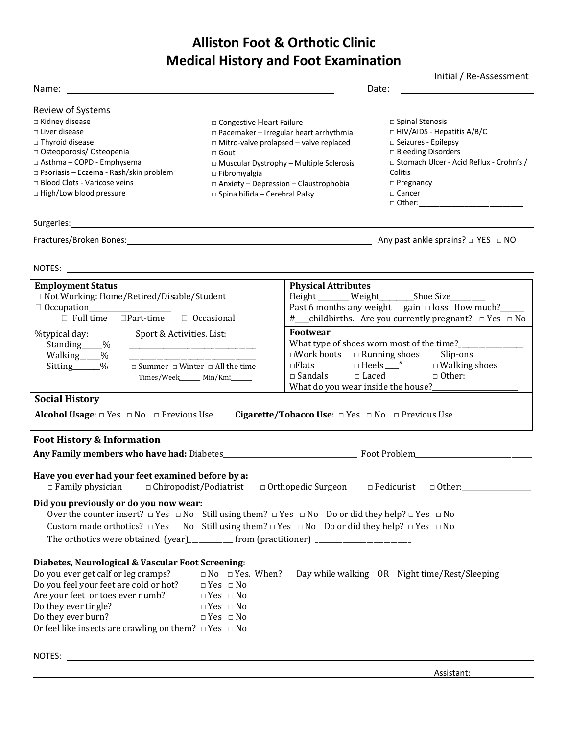# **Alliston Foot & Orthotic Clinic Medical History and Foot Examination**

|                                                                                                                               |                                                | Initial / Re-Assessment                                    |  |  |
|-------------------------------------------------------------------------------------------------------------------------------|------------------------------------------------|------------------------------------------------------------|--|--|
| Name:                                                                                                                         |                                                | Date:                                                      |  |  |
| Review of Systems                                                                                                             |                                                |                                                            |  |  |
| $\Box$ Kidney disease                                                                                                         | $\Box$ Congestive Heart Failure                | $\Box$ Spinal Stenosis                                     |  |  |
| $\Box$ Liver disease                                                                                                          | □ Pacemaker - Irregular heart arrhythmia       | $\Box$ HIV/AIDS - Hepatitis A/B/C                          |  |  |
| □ Thyroid disease                                                                                                             | $\Box$ Mitro-valve prolapsed – valve replaced  | □ Seizures - Epilepsy                                      |  |  |
| □ Osteoporosis/ Osteopenia                                                                                                    | $\sqcap$ Gout                                  | □ Bleeding Disorders                                       |  |  |
| □ Asthma - COPD - Emphysema                                                                                                   | $\Box$ Muscular Dystrophy – Multiple Sclerosis | □ Stomach Ulcer - Acid Reflux - Crohn's /                  |  |  |
| □ Psoriasis - Eczema - Rash/skin problem                                                                                      | $\Box$ Fibromyalgia                            | Colitis                                                    |  |  |
| $\Box$ Blood Clots - Varicose veins                                                                                           | $\Box$ Anxiety - Depression - Claustrophobia   | □ Pregnancy                                                |  |  |
| □ High/Low blood pressure                                                                                                     | □ Spina bifida - Cerebral Palsy                | $\Box$ Cancer                                              |  |  |
|                                                                                                                               |                                                | $\Box$ Other:                                              |  |  |
| Surgeries: <u>www.community.community.community.com</u>                                                                       |                                                |                                                            |  |  |
|                                                                                                                               |                                                | Any past ankle sprains? $\Box$ YES $\Box$ NO               |  |  |
| NOTES:<br><u> 1980 - Johann John Stein, fransk politik (f. 1980)</u>                                                          |                                                |                                                            |  |  |
| <b>Employment Status</b>                                                                                                      | <b>Physical Attributes</b>                     |                                                            |  |  |
| □ Not Working: Home/Retired/Disable/Student                                                                                   |                                                | Height ______ Weight ________Shoe Size_______              |  |  |
|                                                                                                                               |                                                | Past 6 months any weight $\Box$ gain $\Box$ loss How much? |  |  |
| $\Box$ Part-time<br>$\Box$ Full time<br>$\Box$ Occasional<br>#__childbirths. Are you currently pregnant? $\Box$ Yes $\Box$ No |                                                |                                                            |  |  |
| %typical day:<br>Sport & Activities. List:                                                                                    | <b>Footwear</b>                                |                                                            |  |  |
| Standing ____%                                                                                                                |                                                |                                                            |  |  |
| Walking ____%                                                                                                                 | $\square$ Work boots                           | $\Box$ Running shoes<br>$\Box$ Slip-ons                    |  |  |
| Sitting<br>$\frac{0}{0}$<br>$\Box$ Summer $\Box$ Winter $\Box$ All the time                                                   | $\Box$ Flats                                   | $\Box$ Heels ____"<br>$\Box$ Walking shoes                 |  |  |
| Times/Week Min/Km:                                                                                                            | $\Box$ Sandals                                 | $\Box$ Laced<br>$\Box$ Other:                              |  |  |

What do you wear inside the house?

### **Social History**

**Alcohol Usage**: □ Yes □ No □ Previous Use **Cigarette/Tobacco Use**: □ Yes □ No □ Previous Use

Times/Week\_\_\_\_\_\_ Min/Km:\_\_\_\_\_\_

#### **Foot History & Information**

|                                                                                                                                | Foot Problem <b>Example 20</b>                                                                                  |
|--------------------------------------------------------------------------------------------------------------------------------|-----------------------------------------------------------------------------------------------------------------|
| Have you ever had your feet examined before by a:                                                                              | $\Box$ Family physician $\Box$ Chiropodist/Podiatrist $\Box$ Orthopedic Surgeon $\Box$ Pedicurist $\Box$ Other: |
| Did you previously or do you now wear:                                                                                         |                                                                                                                 |
| Over the counter insert? $\Box$ Yes $\Box$ No Still using them? $\Box$ Yes $\Box$ No Do or did they help? $\Box$ Yes $\Box$ No |                                                                                                                 |
| Custom made orthotics? $\Box$ Yes $\Box$ No Still using them? $\Box$ Yes $\Box$ No Do or did they help? $\Box$ Yes $\Box$ No   |                                                                                                                 |
|                                                                                                                                |                                                                                                                 |
| Diabetes, Neurological & Vascular Foot Screening:                                                                              |                                                                                                                 |
| Do you ever get calf or leg cramps? $\Box$ No $\Box$ Yes. When?                                                                | Day while walking OR Night time/Rest/Sleeping                                                                   |
| Do you feel your feet are cold or hot? $\Box$ Yes $\Box$ No                                                                    |                                                                                                                 |
| Are your feet or toes ever numb? $\square$ Yes $\square$ No                                                                    |                                                                                                                 |
| Do they ever tingle?<br>$\Box$ Yes $\Box$ No                                                                                   |                                                                                                                 |
| Do they ever burn?<br>$\Box$ Yes $\Box$ No                                                                                     |                                                                                                                 |
| Or feel like insects are crawling on them? $\Box$ Yes $\Box$ No                                                                |                                                                                                                 |
| NOTES:                                                                                                                         |                                                                                                                 |